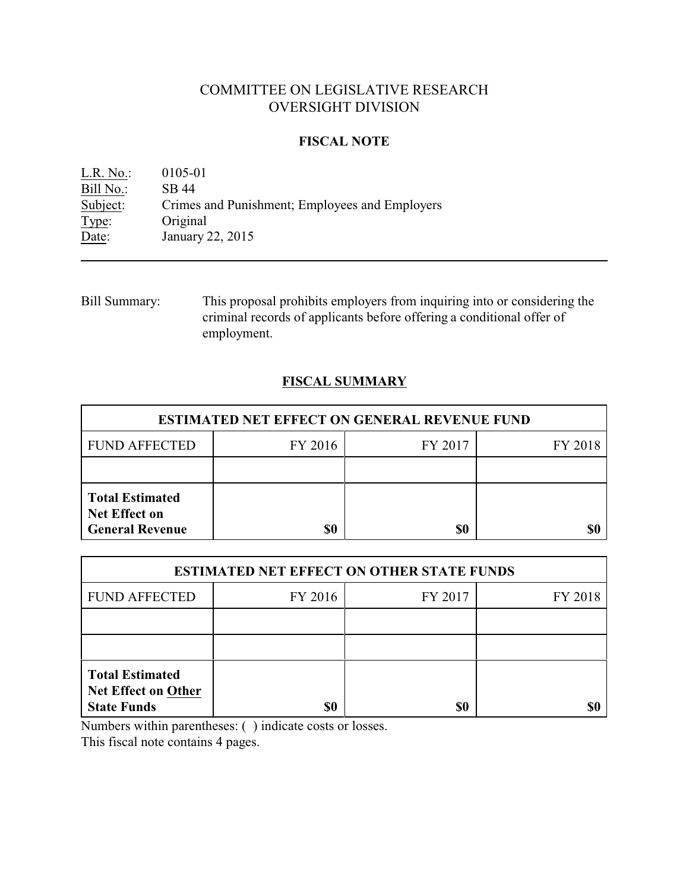# COMMITTEE ON LEGISLATIVE RESEARCH OVERSIGHT DIVISION

## **FISCAL NOTE**

L.R. No.: 0105-01 Bill No.: SB 44<br>Subject: Crimes Crimes and Punishment; Employees and Employers Type: Original Date: January 22, 2015

Bill Summary: This proposal prohibits employers from inquiring into or considering the criminal records of applicants before offering a conditional offer of employment.

# **FISCAL SUMMARY**

| <b>ESTIMATED NET EFFECT ON GENERAL REVENUE FUND</b>                      |           |         |         |  |
|--------------------------------------------------------------------------|-----------|---------|---------|--|
| <b>FUND AFFECTED</b>                                                     | FY 2016   | FY 2017 | FY 2018 |  |
|                                                                          |           |         |         |  |
| <b>Total Estimated</b><br><b>Net Effect on</b><br><b>General Revenue</b> | <b>SO</b> | \$0     |         |  |

| <b>ESTIMATED NET EFFECT ON OTHER STATE FUNDS</b>                           |         |         |         |  |
|----------------------------------------------------------------------------|---------|---------|---------|--|
| <b>FUND AFFECTED</b>                                                       | FY 2016 | FY 2017 | FY 2018 |  |
|                                                                            |         |         |         |  |
|                                                                            |         |         |         |  |
| <b>Total Estimated</b><br><b>Net Effect on Other</b><br><b>State Funds</b> | \$0     | \$0     |         |  |

Numbers within parentheses: ( ) indicate costs or losses.

This fiscal note contains 4 pages.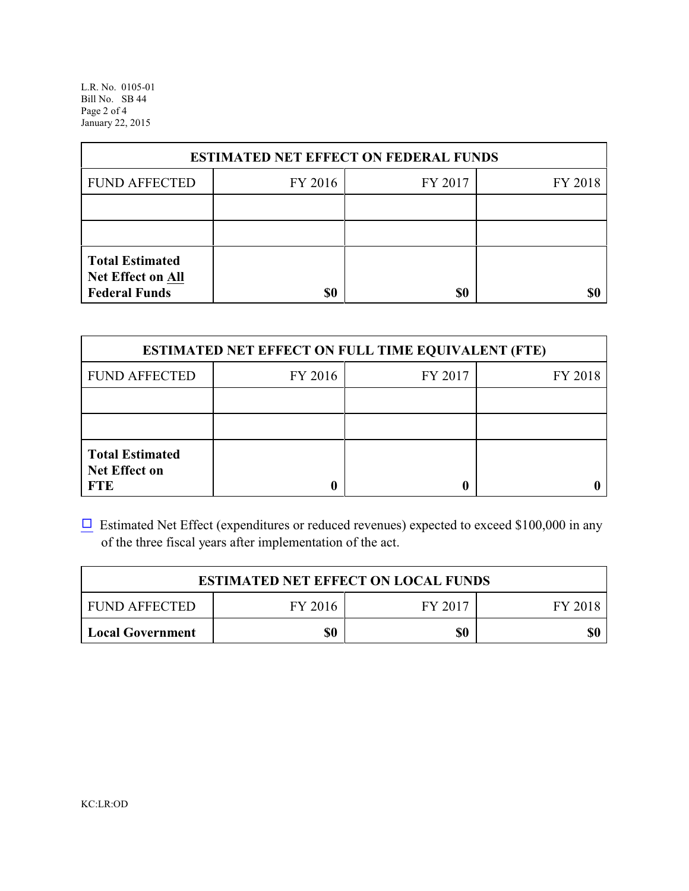L.R. No. 0105-01 Bill No. SB 44 Page 2 of 4 January 22, 2015

| <b>ESTIMATED NET EFFECT ON FEDERAL FUNDS</b>                        |         |         |         |  |
|---------------------------------------------------------------------|---------|---------|---------|--|
| <b>FUND AFFECTED</b>                                                | FY 2016 | FY 2017 | FY 2018 |  |
|                                                                     |         |         |         |  |
|                                                                     |         |         |         |  |
| <b>Total Estimated</b><br>Net Effect on All<br><b>Federal Funds</b> | \$0     | \$0     |         |  |

| <b>ESTIMATED NET EFFECT ON FULL TIME EQUIVALENT (FTE)</b>    |         |         |         |  |
|--------------------------------------------------------------|---------|---------|---------|--|
| <b>FUND AFFECTED</b>                                         | FY 2016 | FY 2017 | FY 2018 |  |
|                                                              |         |         |         |  |
|                                                              |         |         |         |  |
| <b>Total Estimated</b><br><b>Net Effect on</b><br><b>FTE</b> |         |         |         |  |

 $\Box$  Estimated Net Effect (expenditures or reduced revenues) expected to exceed \$100,000 in any of the three fiscal years after implementation of the act.

| <b>ESTIMATED NET EFFECT ON LOCAL FUNDS</b> |         |         |         |
|--------------------------------------------|---------|---------|---------|
| <b>FUND AFFECTED</b>                       | FY 2016 | FY 2017 | FY 2018 |
| <b>Local Government</b>                    | \$0     | \$0     | \$0     |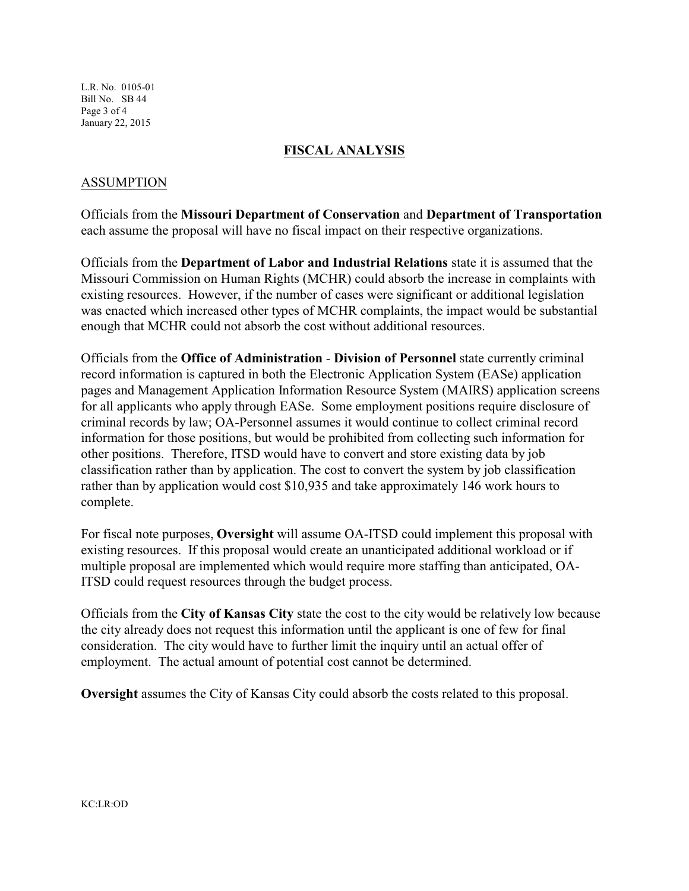L.R. No. 0105-01 Bill No. SB 44 Page 3 of 4 January 22, 2015

# **FISCAL ANALYSIS**

# ASSUMPTION

Officials from the **Missouri Department of Conservation** and **Department of Transportation** each assume the proposal will have no fiscal impact on their respective organizations.

Officials from the **Department of Labor and Industrial Relations** state it is assumed that the Missouri Commission on Human Rights (MCHR) could absorb the increase in complaints with existing resources. However, if the number of cases were significant or additional legislation was enacted which increased other types of MCHR complaints, the impact would be substantial enough that MCHR could not absorb the cost without additional resources.

Officials from the **Office of Administration** - **Division of Personnel** state currently criminal record information is captured in both the Electronic Application System (EASe) application pages and Management Application Information Resource System (MAIRS) application screens for all applicants who apply through EASe. Some employment positions require disclosure of criminal records by law; OA-Personnel assumes it would continue to collect criminal record information for those positions, but would be prohibited from collecting such information for other positions. Therefore, ITSD would have to convert and store existing data by job classification rather than by application. The cost to convert the system by job classification rather than by application would cost \$10,935 and take approximately 146 work hours to complete.

For fiscal note purposes, **Oversight** will assume OA-ITSD could implement this proposal with existing resources. If this proposal would create an unanticipated additional workload or if multiple proposal are implemented which would require more staffing than anticipated, OA-ITSD could request resources through the budget process.

Officials from the **City of Kansas City** state the cost to the city would be relatively low because the city already does not request this information until the applicant is one of few for final consideration. The city would have to further limit the inquiry until an actual offer of employment. The actual amount of potential cost cannot be determined.

**Oversight** assumes the City of Kansas City could absorb the costs related to this proposal.